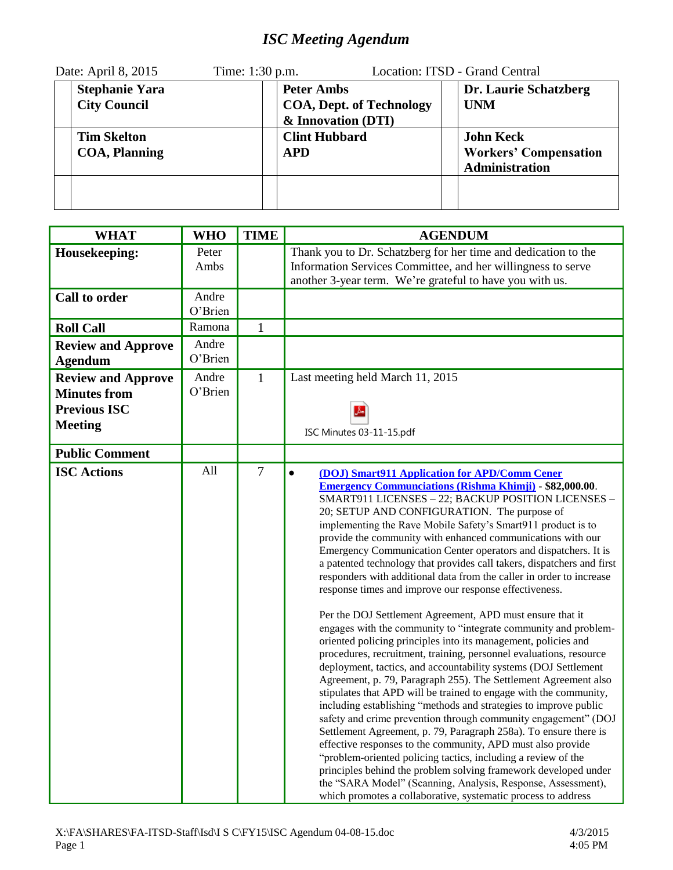## *ISC Meeting Agendum*

| Date: April 8, 2015 |                                              | Time: 1:30 p.m. |                                                                            | Location: ITSD - Grand Central                                            |
|---------------------|----------------------------------------------|-----------------|----------------------------------------------------------------------------|---------------------------------------------------------------------------|
|                     | <b>Stephanie Yara</b><br><b>City Council</b> |                 | <b>Peter Ambs</b><br><b>COA, Dept. of Technology</b><br>& Innovation (DTI) | Dr. Laurie Schatzberg<br><b>UNM</b>                                       |
|                     | <b>Tim Skelton</b><br><b>COA</b> , Planning  |                 | <b>Clint Hubbard</b><br><b>APD</b>                                         | <b>John Keck</b><br><b>Workers' Compensation</b><br><b>Administration</b> |
|                     |                                              |                 |                                                                            |                                                                           |

| <b>WHAT</b>                                                                               | <b>WHO</b>       | <b>TIME</b>    | <b>AGENDUM</b>                                                                                                                                                                                                                                                                                                                                                                                                                                                                                                                                                                                                                                                                                                                                                                                                                                                                                                                                                                                                                                                                                                                                                                                                                                                                                                                                                                                                                                                                                                                                                                                                                                                                   |
|-------------------------------------------------------------------------------------------|------------------|----------------|----------------------------------------------------------------------------------------------------------------------------------------------------------------------------------------------------------------------------------------------------------------------------------------------------------------------------------------------------------------------------------------------------------------------------------------------------------------------------------------------------------------------------------------------------------------------------------------------------------------------------------------------------------------------------------------------------------------------------------------------------------------------------------------------------------------------------------------------------------------------------------------------------------------------------------------------------------------------------------------------------------------------------------------------------------------------------------------------------------------------------------------------------------------------------------------------------------------------------------------------------------------------------------------------------------------------------------------------------------------------------------------------------------------------------------------------------------------------------------------------------------------------------------------------------------------------------------------------------------------------------------------------------------------------------------|
| Housekeeping:                                                                             | Peter<br>Ambs    |                | Thank you to Dr. Schatzberg for her time and dedication to the<br>Information Services Committee, and her willingness to serve<br>another 3-year term. We're grateful to have you with us.                                                                                                                                                                                                                                                                                                                                                                                                                                                                                                                                                                                                                                                                                                                                                                                                                                                                                                                                                                                                                                                                                                                                                                                                                                                                                                                                                                                                                                                                                       |
| <b>Call to order</b>                                                                      | Andre<br>O'Brien |                |                                                                                                                                                                                                                                                                                                                                                                                                                                                                                                                                                                                                                                                                                                                                                                                                                                                                                                                                                                                                                                                                                                                                                                                                                                                                                                                                                                                                                                                                                                                                                                                                                                                                                  |
| <b>Roll Call</b>                                                                          | Ramona           | $\mathbf{1}$   |                                                                                                                                                                                                                                                                                                                                                                                                                                                                                                                                                                                                                                                                                                                                                                                                                                                                                                                                                                                                                                                                                                                                                                                                                                                                                                                                                                                                                                                                                                                                                                                                                                                                                  |
| <b>Review and Approve</b><br><b>Agendum</b>                                               | Andre<br>O'Brien |                |                                                                                                                                                                                                                                                                                                                                                                                                                                                                                                                                                                                                                                                                                                                                                                                                                                                                                                                                                                                                                                                                                                                                                                                                                                                                                                                                                                                                                                                                                                                                                                                                                                                                                  |
| <b>Review and Approve</b><br><b>Minutes from</b><br><b>Previous ISC</b><br><b>Meeting</b> | Andre<br>O'Brien | $\mathbf{1}$   | Last meeting held March 11, 2015<br>ISC Minutes 03-11-15.pdf                                                                                                                                                                                                                                                                                                                                                                                                                                                                                                                                                                                                                                                                                                                                                                                                                                                                                                                                                                                                                                                                                                                                                                                                                                                                                                                                                                                                                                                                                                                                                                                                                     |
| <b>Public Comment</b>                                                                     |                  |                |                                                                                                                                                                                                                                                                                                                                                                                                                                                                                                                                                                                                                                                                                                                                                                                                                                                                                                                                                                                                                                                                                                                                                                                                                                                                                                                                                                                                                                                                                                                                                                                                                                                                                  |
| <b>ISC Actions</b>                                                                        | All              | $\overline{7}$ | $\bullet$<br>(DOJ) Smart911 Application for APD/Comm Cener<br><b>Emergency Communciations (Rishma Khimji) - \$82,000.00.</b><br>SMART911 LICENSES - 22; BACKUP POSITION LICENSES -<br>20; SETUP AND CONFIGURATION. The purpose of<br>implementing the Rave Mobile Safety's Smart911 product is to<br>provide the community with enhanced communications with our<br>Emergency Communication Center operators and dispatchers. It is<br>a patented technology that provides call takers, dispatchers and first<br>responders with additional data from the caller in order to increase<br>response times and improve our response effectiveness.<br>Per the DOJ Settlement Agreement, APD must ensure that it<br>engages with the community to "integrate community and problem-<br>oriented policing principles into its management, policies and<br>procedures, recruitment, training, personnel evaluations, resource<br>deployment, tactics, and accountability systems (DOJ Settlement<br>Agreement, p. 79, Paragraph 255). The Settlement Agreement also<br>stipulates that APD will be trained to engage with the community,<br>including establishing "methods and strategies to improve public<br>safety and crime prevention through community engagement" (DOJ<br>Settlement Agreement, p. 79, Paragraph 258a). To ensure there is<br>effective responses to the community, APD must also provide<br>"problem-oriented policing tactics, including a review of the<br>principles behind the problem solving framework developed under<br>the "SARA Model" (Scanning, Analysis, Response, Assessment),<br>which promotes a collaborative, systematic process to address |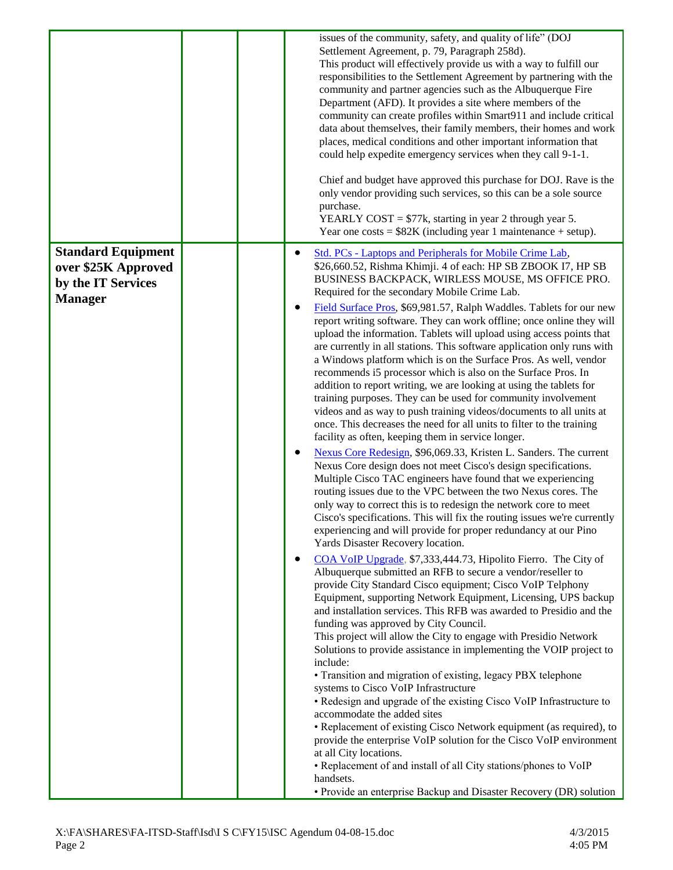|                           | issues of the community, safety, and quality of life" (DOJ<br>Settlement Agreement, p. 79, Paragraph 258d).<br>This product will effectively provide us with a way to fulfill our<br>responsibilities to the Settlement Agreement by partnering with the<br>community and partner agencies such as the Albuquerque Fire<br>Department (AFD). It provides a site where members of the<br>community can create profiles within Smart911 and include critical<br>data about themselves, their family members, their homes and work<br>places, medical conditions and other important information that<br>could help expedite emergency services when they call 9-1-1.<br>Chief and budget have approved this purchase for DOJ. Rave is the<br>only vendor providing such services, so this can be a sole source<br>purchase.<br>YEARLY COST = $$77k$ , starting in year 2 through year 5.<br>Year one costs = $$82K$ (including year 1 maintenance + setup).                                                                                                                                                                                                                                                                                                                                                                     |
|---------------------------|-------------------------------------------------------------------------------------------------------------------------------------------------------------------------------------------------------------------------------------------------------------------------------------------------------------------------------------------------------------------------------------------------------------------------------------------------------------------------------------------------------------------------------------------------------------------------------------------------------------------------------------------------------------------------------------------------------------------------------------------------------------------------------------------------------------------------------------------------------------------------------------------------------------------------------------------------------------------------------------------------------------------------------------------------------------------------------------------------------------------------------------------------------------------------------------------------------------------------------------------------------------------------------------------------------------------------------|
| <b>Standard Equipment</b> | Std. PCs - Laptops and Peripherals for Mobile Crime Lab,<br>$\bullet$                                                                                                                                                                                                                                                                                                                                                                                                                                                                                                                                                                                                                                                                                                                                                                                                                                                                                                                                                                                                                                                                                                                                                                                                                                                         |
| over \$25K Approved       | \$26,660.52, Rishma Khimji. 4 of each: HP SB ZBOOK I7, HP SB<br>BUSINESS BACKPACK, WIRLESS MOUSE, MS OFFICE PRO.                                                                                                                                                                                                                                                                                                                                                                                                                                                                                                                                                                                                                                                                                                                                                                                                                                                                                                                                                                                                                                                                                                                                                                                                              |
| by the IT Services        | Required for the secondary Mobile Crime Lab.                                                                                                                                                                                                                                                                                                                                                                                                                                                                                                                                                                                                                                                                                                                                                                                                                                                                                                                                                                                                                                                                                                                                                                                                                                                                                  |
| <b>Manager</b>            | Field Surface Pros, \$69,981.57, Ralph Waddles. Tablets for our new<br>٠<br>report writing software. They can work offline; once online they will<br>upload the information. Tablets will upload using access points that<br>are currently in all stations. This software application only runs with<br>a Windows platform which is on the Surface Pros. As well, vendor<br>recommends i5 processor which is also on the Surface Pros. In<br>addition to report writing, we are looking at using the tablets for<br>training purposes. They can be used for community involvement<br>videos and as way to push training videos/documents to all units at<br>once. This decreases the need for all units to filter to the training<br>facility as often, keeping them in service longer.<br>Nexus Core Redesign, \$96,069.33, Kristen L. Sanders. The current<br>٠<br>Nexus Core design does not meet Cisco's design specifications.<br>Multiple Cisco TAC engineers have found that we experiencing<br>routing issues due to the VPC between the two Nexus cores. The<br>only way to correct this is to redesign the network core to meet<br>Cisco's specifications. This will fix the routing issues we're currently<br>experiencing and will provide for proper redundancy at our Pino<br>Yards Disaster Recovery location. |
|                           | COA VoIP Upgrade, \$7,333,444.73, Hipolito Fierro. The City of<br>٠<br>Albuquerque submitted an RFB to secure a vendor/reseller to<br>provide City Standard Cisco equipment; Cisco VoIP Telphony<br>Equipment, supporting Network Equipment, Licensing, UPS backup<br>and installation services. This RFB was awarded to Presidio and the<br>funding was approved by City Council.<br>This project will allow the City to engage with Presidio Network<br>Solutions to provide assistance in implementing the VOIP project to<br>include:<br>• Transition and migration of existing, legacy PBX telephone<br>systems to Cisco VoIP Infrastructure<br>• Redesign and upgrade of the existing Cisco VoIP Infrastructure to<br>accommodate the added sites<br>• Replacement of existing Cisco Network equipment (as required), to<br>provide the enterprise VoIP solution for the Cisco VoIP environment<br>at all City locations.<br>• Replacement of and install of all City stations/phones to VoIP<br>handsets.<br>• Provide an enterprise Backup and Disaster Recovery (DR) solution                                                                                                                                                                                                                                        |